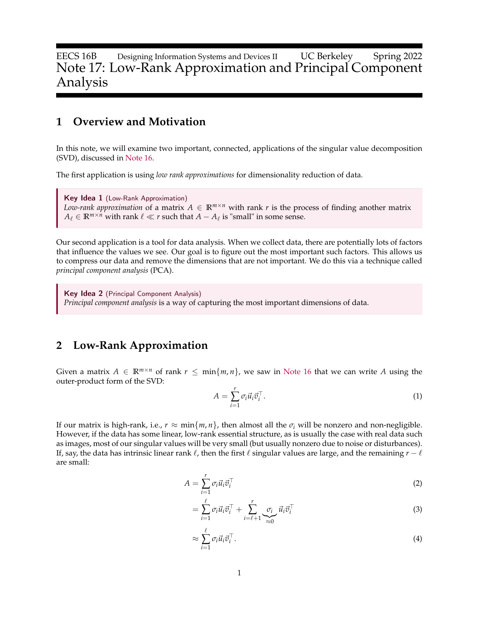EECS 16B Designing Information Systems and Devices II UC Berkeley Spring 2022 Note 17: Low-Rank Approximation and Principal Component Analysis

## **1 Overview and Motivation**

In this note, we will examine two important, connected, applications of the singular value decomposition (SVD), discussed in [Note 16.](https://www.eecs16b.org/notes/sp22/note16.pdf)

The first application is using *low rank approximations* for dimensionality reduction of data.

Key Idea 1 (Low-Rank Approximation) *Low-rank approximation* of a matrix  $A \in \mathbb{R}^{m \times n}$  with rank *r* is the process of finding another matrix  $A_{\ell} \in \mathbb{R}^{m \times n}$  with rank  $\ell \ll r$  such that  $A - A_{\ell}$  is "small" in some sense.

Our second application is a tool for data analysis. When we collect data, there are potentially lots of factors that influence the values we see. Our goal is to figure out the most important such factors. This allows us to compress our data and remove the dimensions that are not important. We do this via a technique called *principal component analysis* (PCA).

Key Idea 2 (Principal Component Analysis) *Principal component analysis* is a way of capturing the most important dimensions of data.

## **2 Low-Rank Approximation**

Given a matrix  $A \in \mathbb{R}^{m \times n}$  of rank  $r \leq \min\{m, n\}$ , we saw in [Note 16](https://www.eecs16b.org/notes/sp22/note16.pdf) that we can write A using the outer-product form of the SVD:

$$
A = \sum_{i=1}^{r} \sigma_i \vec{u}_i \vec{v}_i^{\top}.
$$
 (1)

If our matrix is high-rank, i.e.,  $r \approx \min\{m, n\}$ , then almost all the  $\sigma_i$  will be nonzero and non-negligible. However, if the data has some linear, low-rank essential structure, as is usually the case with real data such as images, most of our singular values will be very small (but usually nonzero due to noise or disturbances). If, say, the data has intrinsic linear rank  $\ell$ , then the first  $\ell$  singular values are large, and the remaining  $r - \ell$ are small:

$$
A = \sum_{i=1}^{r} \sigma_i \vec{u}_i \vec{v}_i^{\top}
$$
 (2)

$$
= \sum_{i=1}^{\ell} \sigma_i \vec{u}_i \vec{v}_i^{\top} + \sum_{i=\ell+1}^{r} \underbrace{\sigma_i}_{\approx 0} \vec{u}_i \vec{v}_i^{\top} \tag{3}
$$

$$
\approx \sum_{i=1}^{\ell} \sigma_i \vec{u}_i \vec{v}_i^{\top}.
$$
\n(4)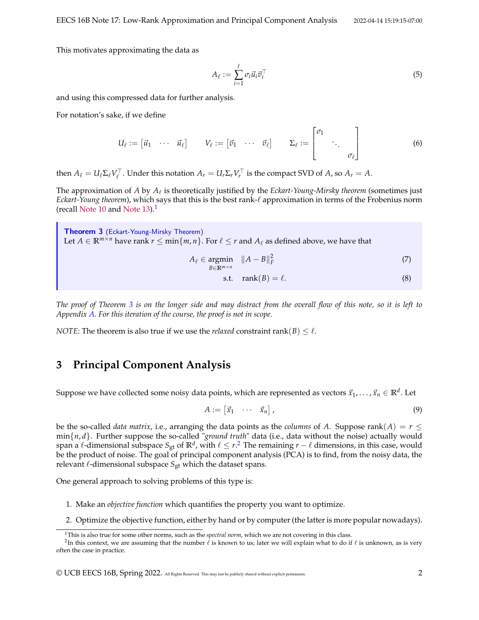This motivates approximating the data as

$$
A_{\ell} := \sum_{i=1}^{\ell} \sigma_i \vec{u}_i \vec{v}_i^{\top} \tag{5}
$$

and using this compressed data for further analysis.

For notation's sake, if we define

$$
U_{\ell} := [\vec{u}_1 \cdots \vec{u}_{\ell}] \qquad V_{\ell} := [\vec{v}_1 \cdots \vec{v}_{\ell}] \qquad \Sigma_{\ell} := \begin{bmatrix} \sigma_1 & & \\ & \ddots & \\ & & \sigma_{\ell} \end{bmatrix}
$$
 (6)

then  $A_\ell = U_\ell \Sigma_\ell V_\ell^\top$ . Under this notation  $A_r = U_r \Sigma_r V_r^\top$  is the compact SVD of  $A_r$  so  $A_r = A$ .

The approximation of  $A$  by  $A_\ell$  is theoretically justified by the  $E$ ckart-Young-Mirsky theorem (sometimes just *Eckart-Young theorem*), which says that this is the best rank-ℓ approximation in terms of the Frobenius norm (recall [Note 10](https://www.eecs16b.org/notes/sp22/note10.pdf) and [Note 13\)](https://www.eecs16b.org/notes/sp22/note13.pdf).[1](#page-1-0)

<span id="page-1-1"></span>Theorem 3 (Eckart-Young-Mirsky Theorem) Let  $A \in \mathbb{R}^{m \times n}$  have rank  $r \leq \min\{m, n\}$ . For  $\ell \leq r$  and  $A_{\ell}$  as defined above, we have that

$$
A_{\ell} \in \underset{B \in \mathbb{R}^{m \times n}}{\operatorname{argmin}} \quad \|A - B\|_{F}^{2} \tag{7}
$$

$$
s.t. \quad \text{rank}(B) = \ell. \tag{8}
$$

*The proof of Theorem [3](#page-1-1) is on the longer side and may distract from the overall flow of this note, so it is left to Appendix [A.](#page-10-0) For this iteration of the course, the proof is not in scope.*

*NOTE*: The theorem is also true if we use the *relaxed* constraint rank(*B*)  $\leq \ell$ .

## **3 Principal Component Analysis**

Suppose we have collected some noisy data points, which are represented as vectors  $\vec{x}_1,\ldots,\vec{x}_n\in\mathbb{R}^d.$  Let

$$
A := \begin{bmatrix} \vec{x}_1 & \cdots & \vec{x}_n \end{bmatrix}, \tag{9}
$$

be the so-called *data matrix*, i.e., arranging the data points as the *columns* of *A*. Suppose rank( $A$ ) =  $r \leq$ min{*n*, *d*}. Further suppose the so-called "*ground truth*" data (i.e., data without the noise) actually would span a  $\ell$ -dimensional subspace  $S_{\text{gt}}$  of  $\mathbb{R}^d$ , with  $\ell\leq r$ . The remaining  $r-\ell$  dimensions, in this case, would be the product of noise. The goal of principal component analysis (PCA) is to find, from the noisy data, the relevant  $\ell$ -dimensional subspace  $S_{gt}$  which the dataset spans.

One general approach to solving problems of this type is:

- 1. Make an *objective function* which quantifies the property you want to optimize.
- 2. Optimize the objective function, either by hand or by computer (the latter is more popular nowadays).

© UCB EECS 16B, Spring 2022. All Rights Reserved. This may not be publicly shared without explicit permission. 2

<span id="page-1-2"></span><span id="page-1-0"></span><sup>1</sup>This is also true for some other norms, such as the *spectral norm*, which we are not covering in this class.

 $^2$ In this context, we are assuming that the number  $\ell$  is known to us; later we will explain what to do if  $\ell$  is unknown, as is very often the case in practice.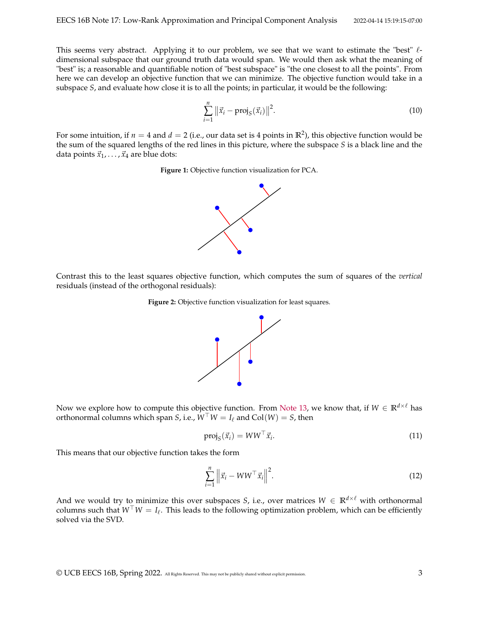This seems very abstract. Applying it to our problem, we see that we want to estimate the "best"  $\ell$ dimensional subspace that our ground truth data would span. We would then ask what the meaning of "best" is; a reasonable and quantifiable notion of "best subspace" is "the one closest to all the points". From here we can develop an objective function that we can minimize. The objective function would take in a subspace *S*, and evaluate how close it is to all the points; in particular, it would be the following:

$$
\sum_{i=1}^{n} \|\vec{x}_i - \text{proj}_S(\vec{x}_i)\|^2.
$$
 (10)

For some intuition, if  $n=4$  and  $d=2$  (i.e., our data set is 4 points in  $\mathbb{R}^2$ ), this objective function would be the sum of the squared lengths of the red lines in this picture, where the subspace *S* is a black line and the data points  $\vec{x}_1, \ldots, \vec{x}_4$  are blue dots:

**Figure 1:** Objective function visualization for PCA.



Contrast this to the least squares objective function, which computes the sum of squares of the *vertical* residuals (instead of the orthogonal residuals):

**Figure 2:** Objective function visualization for least squares.



Now we explore how to compute this objective function. From [Note 13,](https://www.eecs16b.org/notes/sp22/note13.pdf) we know that, if  $W \in \mathbb{R}^{d \times l}$  has orthonormal columns which span *S*, i.e.,  $W^{\top}W = I_{\ell}$  and  $Col(W) = S$ , then

$$
\text{proj}_{S}(\vec{x}_{i}) = WW^{\top}\vec{x}_{i}.
$$
\n(11)

This means that our objective function takes the form

$$
\sum_{i=1}^{n} \left\| \vec{x}_i - WW^\top \vec{x}_i \right\|^2.
$$
\n(12)

And we would try to minimize this over subspaces *S*, i.e., over matrices  $W \in \mathbb{R}^{d \times \ell}$  with orthonormal columns such that *W*⊤*W* = *I*<sup>ℓ</sup> . This leads to the following optimization problem, which can be efficiently solved via the SVD.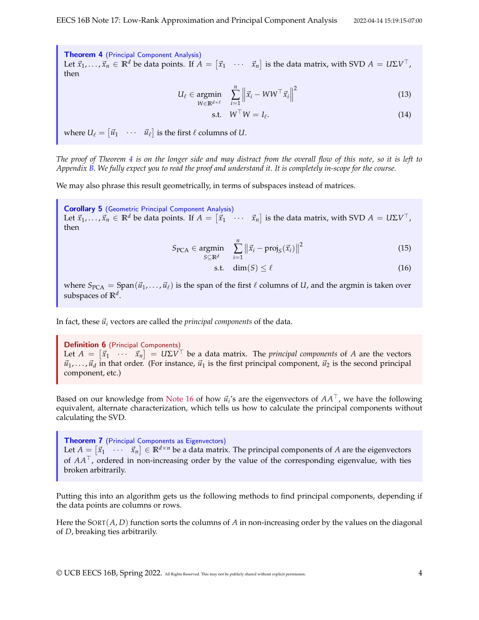<span id="page-3-0"></span>Theorem 4 (Principal Component Analysis) Let  $\vec{x}_1, \ldots, \vec{x}_n \in \mathbb{R}^d$  be data points. If  $A = \begin{bmatrix} \vec{x}_1 & \cdots & \vec{x}_n \end{bmatrix}$  is the data matrix, with SVD  $A = U\Sigma V^\top$ , then

$$
U_{\ell} \in \underset{W \in \mathbb{R}^{d \times \ell}}{\operatorname{argmin}} \quad \sum_{i=1}^{n} \left\| \vec{x}_i - WW^{\top} \vec{x}_i \right\|^2 \tag{13}
$$

$$
\text{s.t.} \quad W^{\top}W = I_{\ell}. \tag{14}
$$

where  $U_\ell = \begin{bmatrix} \vec{u}_1 & \cdots & \vec{u}_\ell \end{bmatrix}$  is the first  $\ell$  columns of  $U.$ 

*The proof of Theorem [4](#page-3-0) is on the longer side and may distract from the overall flow of this note, so it is left to Appendix [B.](#page-14-0) We fully expect you to read the proof and understand it. It is completely in-scope for the course.*

We may also phrase this result geometrically, in terms of subspaces instead of matrices.

Corollary 5 (Geometric Principal Component Analysis) Let  $\vec{x}_1, \ldots, \vec{x}_n \in \mathbb{R}^d$  be data points. If  $A = \begin{bmatrix} \vec{x}_1 & \cdots & \vec{x}_n \end{bmatrix}$  is the data matrix, with SVD  $A = U \Sigma V^\top$ , then

$$
S_{\text{PCA}} \in \underset{S \subseteq \mathbb{R}^d}{\text{argmin}} \quad \sum_{i=1}^n \left\| \vec{x}_i - \text{proj}_S(\vec{x}_i) \right\|^2 \tag{15}
$$

$$
\text{s.t. } \dim(S) \le \ell \tag{16}
$$

where  $S_{PCA} = Span(\vec{u}_1, \dots, \vec{u}_\ell)$  is the span of the first  $\ell$  columns of *U*, and the argmin is taken over subspaces of **R***<sup>d</sup>* .

In fact, these  $\vec{u}_i$  vectors are called the *principal components* of the data.

Definition 6 (Principal Components) Let  $A = [\vec{x}_1 \quad \cdots \quad \vec{x}_n] = U \Sigma V^\top$  be a data matrix. The *principal components* of *A* are the vectors  $\vec{u}_1, \ldots, \vec{u}_d$  in that order. (For instance,  $\vec{u}_1$  is the first principal component,  $\vec{u}_2$  is the second principal component, etc.)

Based on our knowledge from [Note 16](https://www.eecs16b.org/notes/sp22/note16.pdf) of how  $\vec{u}_i$ 's are the eigenvectors of  $AA^\top$ , we have the following equivalent, alternate characterization, which tells us how to calculate the principal components without calculating the SVD.

Theorem 7 (Principal Components as Eigenvectors) Let  $A = \begin{bmatrix} \vec{x}_1 & \cdots & \vec{x}_n \end{bmatrix} \in \mathbb{R}^{d \times n}$  be a data matrix. The principal components of  $A$  are the eigenvectors of *AA*⊤, ordered in non-increasing order by the value of the corresponding eigenvalue, with ties broken arbitrarily.

Putting this into an algorithm gets us the following methods to find principal components, depending if the data points are columns or rows.

Here the SORT(*A*, *D*) function sorts the columns of *A* in non-increasing order by the values on the diagonal of *D*, breaking ties arbitrarily.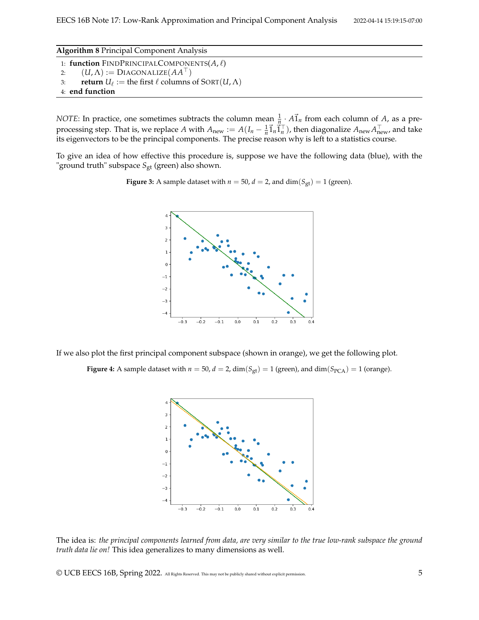**Algorithm 8** Principal Component Analysis

- 1: **function** FINDPRINCIPALCOMPONENTS(*A*, ℓ)
- 2:  $(U, \Lambda) := \text{Diagonalize}(AA^{\top})$
- 3: **return**  $U_{\ell} :=$  the first  $\ell$  columns of SORT $(U, \Lambda)$
- 4: **end function**

*NOTE*: In practice, one sometimes subtracts the column mean  $\frac{1}{n} \cdot A \vec{1}_n$  from each column of *A*, as a preprocessing step. That is, we replace *A* with  $A_{new} := A(I_n - \frac{1}{n}\vec{1}_n\vec{1}_n^\top)$ , then diagonalize  $A_{new}A_{new}^\top$ , and take its eigenvectors to be the principal components. The precise reason why is left to a statistics course.

To give an idea of how effective this procedure is, suppose we have the following data (blue), with the "ground truth" subspace *S*<sub>gt</sub> (green) also shown.

**Figure 3:** A sample dataset with  $n = 50$ ,  $d = 2$ , and  $\dim(S_{gt}) = 1$  (green).



If we also plot the first principal component subspace (shown in orange), we get the following plot.

**Figure 4:** A sample dataset with  $n = 50$ ,  $d = 2$ ,  $\dim(S_{gt}) = 1$  (green), and  $\dim(S_{PCA}) = 1$  (orange).



The idea is: *the principal components learned from data, are very similar to the true low-rank subspace the ground truth data lie on!* This idea generalizes to many dimensions as well.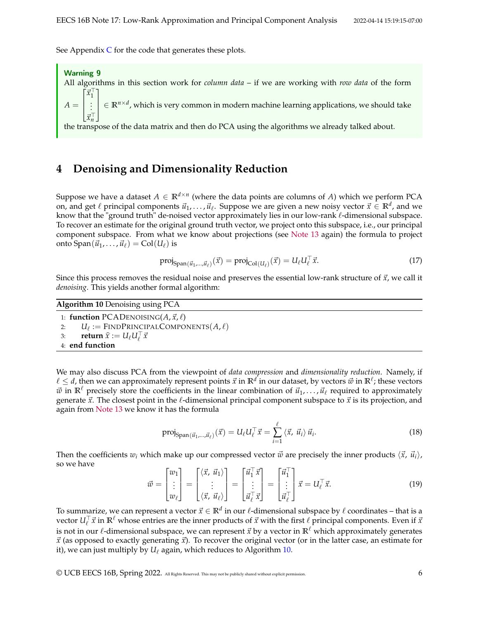See Appendix  $C$  for the code that generates these plots.

Warning 9 All algorithms in this section work for *column data* – if we are working with *row data* of the form  $A =$  $\lceil$  $\overline{1}$  $\overline{1}$ ⃗*x* ⊤ 1 . . . ⃗*x* ⊤ 1  $\perp$  $\overline{1}$ ∈ **R***n*×*<sup>d</sup>* , which is very common in modern machine learning applications, we should take

the transpose of the data matrix and then do PCA using the algorithms we already talked about.

## **4 Denoising and Dimensionality Reduction**

Suppose we have a dataset  $A \in \mathbb{R}^{d \times n}$  (where the data points are columns of *A*) which we perform PCA on, and get  $\ell$  principal components  $\vec{u}_1, \ldots, \vec{u}_{\ell}$ . Suppose we are given a new noisy vector  $\vec{x} \in \mathbb{R}^d$ , and we know that the "ground truth" de-noised vector approximately lies in our low-rank  $ℓ$ -dimensional subspace. To recover an estimate for the original ground truth vector, we project onto this subspace, i.e., our principal component subspace. From what we know about projections (see [Note 13](https://www.eecs16b.org/notes/sp22/note13.pdf) again) the formula to project onto  $\text{Span}(\vec{u}_1, \ldots, \vec{u}_\ell) = \text{Col}(U_\ell)$  is

$$
\text{proj}_{\text{Span}(\vec{u}_1, \dots, \vec{u}_\ell)}(\vec{x}) = \text{proj}_{\text{Col}(U_\ell)}(\vec{x}) = U_\ell U_\ell^\top \vec{x}.\tag{17}
$$

Since this process removes the residual noise and preserves the essential low-rank structure of  $\vec{x}$ , we call it *denoising*. This yields another formal algorithm:

<span id="page-5-0"></span>**Algorithm 10** Denoising using PCA

1: **function** PCADENOISING( $A$ ,  $\vec{x}$ ,  $\ell$ ) 2:  $U_{\ell} := \text{FINDPRINCIPALCOMPONENTS}(A, \ell)$ 3: **return**  $\hat{x} := U_{\ell} U_{\ell}^{\top} \vec{x}$ 4: **end function**

We may also discuss PCA from the viewpoint of *data compression* and *dimensionality reduction*. Namely, if  $\ell \leq d$ , then we can approximately represent points  $\vec{x}$  in  $\mathbb{R}^d$  in our dataset, by vectors  $\vec{w}$  in  $\mathbb{R}^\ell$ ; these vectors  $\vec{w}$  in  $\mathbb{R}^{\ell}$  precisely store the coefficients in the linear combination of  $\vec{u}_1, \ldots, \vec{u}_{\ell}$  required to approximately generate  $\vec{x}$ . The closest point in the  $\ell$ -dimensional principal component subspace to  $\vec{x}$  is its projection, and again from [Note 13](https://www.eecs16b.org/notes/sp22/note13.pdf) we know it has the formula

$$
\text{proj}_{\text{Span}(\vec{u}_1, \dots, \vec{u}_\ell)}(\vec{x}) = U_\ell U_\ell^\top \vec{x} = \sum_{i=1}^\ell \langle \vec{x}, \vec{u}_i \rangle \vec{u}_i. \tag{18}
$$

Then the coefficients  $w_i$  which make up our compressed vector  $\vec{w}$  are precisely the inner products  $\langle \vec{x}, \vec{u}_i \rangle$ , so we have

$$
\vec{w} = \begin{bmatrix} w_1 \\ \vdots \\ w_\ell \end{bmatrix} = \begin{bmatrix} \langle \vec{x}, \vec{u}_1 \rangle \\ \vdots \\ \langle \vec{x}, \vec{u}_\ell \rangle \end{bmatrix} = \begin{bmatrix} \vec{u}_1^\top \vec{x} \\ \vdots \\ \vec{u}_\ell^\top \vec{x} \end{bmatrix} = \begin{bmatrix} \vec{u}_1^\top \\ \vdots \\ \vec{u}_\ell^\top \end{bmatrix} \vec{x} = U_\ell^\top \vec{x}.
$$
 (19)

To summarize*,* we can represent a vector  $\vec{x} \in \mathbb{R}^d$  in our ℓ-dimensional subspace by ℓ coordinates – that is a *vector*  $U_\ell^\top \vec{x}$  in  $\mathbb{R}^\ell$  whose entries are the inner products of  $\vec{x}$  with the first  $\ell$  principal components. Even if  $\vec{x}$ is not in our  $\ell$ -dimensional subspace, we can represent  $\vec{x}$  by a vector in  $\mathbb{R}^{\ell}$  which approximately generates  $\vec{x}$  (as opposed to exactly generating  $\vec{x}$ ). To recover the original vector (or in the latter case, an estimate for it), we can just multiply by  $U_{\ell}$  again, which reduces to Algorithm [10.](#page-5-0)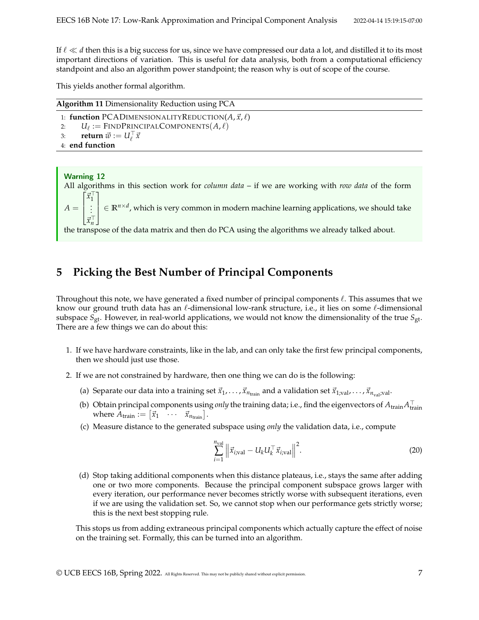If ℓ ≪ *d* then this is a big success for us, since we have compressed our data a lot, and distilled it to its most important directions of variation. This is useful for data analysis, both from a computational efficiency standpoint and also an algorithm power standpoint; the reason why is out of scope of the course.

This yields another formal algorithm.

| <b>Algorithm 11 Dimensionality Reduction using PCA</b>             |
|--------------------------------------------------------------------|
| 1: function PCADIMENSIONALITYREDUCTION( $A$ , $\vec{x}$ , $\ell$ ) |
| $U_\ell :=$ FINDPRINCIPALCOMPONENTS $(A, \ell)$<br>2:              |
| 3: <b>return</b> $\vec{w} := U_{\ell}^{\top} \vec{x}$              |
| 4: end function                                                    |

### Warning 12

All algorithms in this section work for *column data* – if we are working with *row data* of the form  $\lceil$ ⃗*x* ⊤ 1 1

 $A =$  $\overline{1}$  $\overline{1}$ . . . ⃗*x* ⊤  $\begin{array}{c} \hline \end{array}$ ∈ **R***n*×*<sup>d</sup>* , which is very common in modern machine learning applications, we should take

the transpose of the data matrix and then do PCA using the algorithms we already talked about.

## **5 Picking the Best Number of Principal Components**

Throughout this note, we have generated a fixed number of principal components  $\ell$ . This assumes that we know our ground truth data has an ℓ-dimensional low-rank structure, i.e., it lies on some ℓ-dimensional subspace *S*gt. However, in real-world applications, we would not know the dimensionality of the true *S*gt. There are a few things we can do about this:

- 1. If we have hardware constraints, like in the lab, and can only take the first few principal components, then we should just use those.
- 2. If we are not constrained by hardware, then one thing we can do is the following:
	- (a) Separate our data into a training set  $\vec{x}_1, \ldots, \vec{x}_{n_{\text{train}}}$  and a validation set  $\vec{x}_1, \ldots, \vec{x}_{n_{\text{val}}}, \ldots, \vec{x}_{n_{\text{val}}}$
	- (b) Obtain principal components using *only* the training data; i.e., find the eigenvectors of  $A_{\text{train}}A_{\text{train}}^{\top}$ where  $A_{\text{train}} := \begin{bmatrix} \vec{x}_1 & \cdots & \vec{x}_{n_{\text{train}}} \end{bmatrix}$ .
	- (c) Measure distance to the generated subspace using *only* the validation data, i.e., compute

$$
\sum_{i=1}^{n_{\text{val}}} \left\| \vec{x}_{i,\text{val}} - U_k U_k^\top \vec{x}_{i,\text{val}} \right\|^2.
$$
 (20)

(d) Stop taking additional components when this distance plateaus, i.e., stays the same after adding one or two more components. Because the principal component subspace grows larger with every iteration, our performance never becomes strictly worse with subsequent iterations, even if we are using the validation set. So, we cannot stop when our performance gets strictly worse; this is the next best stopping rule.

This stops us from adding extraneous principal components which actually capture the effect of noise on the training set. Formally, this can be turned into an algorithm.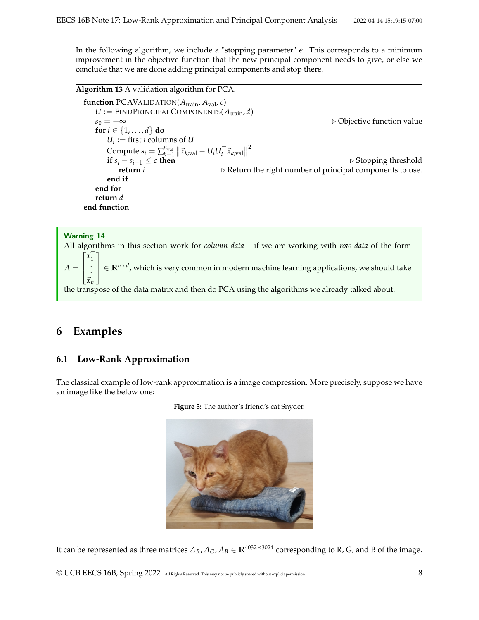In the following algorithm, we include a "stopping parameter" *ϵ*. This corresponds to a minimum improvement in the objective function that the new principal component needs to give, or else we conclude that we are done adding principal components and stop there.

**Algorithm 13** A validation algorithm for PCA. **function** PCAVALIDATION( $A_{\text{train}}$ ,  $A_{\text{val}}$ ,  $\epsilon$ )  $U :=$  FINDPRINCIPALCOMPONENTS( $A_{\text{train}}$ , $d$ ) *s*<sup>0</sup> = +∞ ▷ Objective function value **for**  $i \in \{1, \ldots, d\}$  **do**  $U_i :=$  first *i* columns of *U* Compute  $s_i = \sum_{k=1}^{n_{val}} ||\vec{x}_{k;\text{val}} - U_i U_i^\top \vec{x}_{k;\text{val}}||$ 2 **if**  $s_i - s_{i-1} \leq \epsilon$  **then**<br> **if**  $s_i - s_{i-1} \leq \epsilon$  **then**<br> **b** Return the right number of principal components to use. **return** *i* ▷ Return the right number of principal components to use. **end if end for return** *d* **end function**

#### Warning 14

All algorithms in this section work for *column data* – if we are working with *row data* of the form  $A =$  $\sqrt{ }$  $\overline{1}$  $\overline{1}$ ⃗*x* ⊤ 1 . . . ⃗*x* ⊤ *n* 1  $\perp$  $\overline{1}$ ∈ **R***n*×*<sup>d</sup>* , which is very common in modern machine learning applications, we should take the transpose of the data matrix and then do PCA using the algorithms we already talked about.

## **6 Examples**

## **6.1 Low-Rank Approximation**

The classical example of low-rank approximation is a image compression. More precisely, suppose we have an image like the below one:



**Figure 5:** The author's friend's cat Snyder.

It can be represented as three matrices  $A_R$ ,  $A_G$ ,  $A_B \in \mathbb{R}^{4032 \times 3024}$  corresponding to R, G, and B of the image.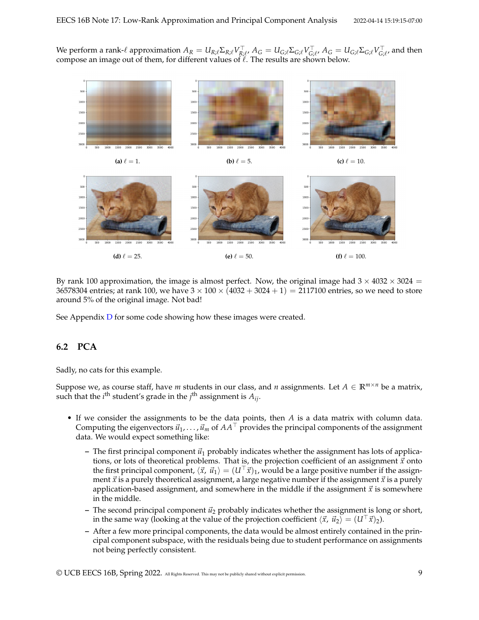We perform a rank- $\ell$  approximation  $A_R=U_{R;\ell}\Sigma_{R;\ell}V_{R;\ell}^\top$ ,  $A_G=U_{G;\ell}\Sigma_{G;\ell}V_{G;\ell}^\top$ ,  $A_G=U_{G;\ell}\Sigma_{G;\ell}V_{G;\ell}^\top$ , and then compose an image out of them, for different values of  $\ell$ . The results are shown below.



By rank 100 approximation, the image is almost perfect. Now, the original image had  $3 \times 4032 \times 3024 =$ 36578304 entries; at rank 100, we have  $3 \times 100 \times (4032 + 3024 + 1) = 2117100$  entries, so we need to store around 5% of the original image. Not bad!

See Appendix [D](#page-16-1) for some code showing how these images were created.

## **6.2 PCA**

Sadly, no cats for this example.

Suppose we, as course staff, have *m* students in our class, and *n* assignments. Let  $A \in \mathbb{R}^{m \times n}$  be a matrix, such that the  $i^{\text{th}}$  student's grade in the  $j^{\text{th}}$  assignment is  $A_{ij}$ .

- If we consider the assignments to be the data points, then *A* is a data matrix with column data. Computing the eigenvectors  $\vec{u}_1, \ldots, \vec{u}_m$  of  $AA^\perp$  provides the principal components of the assignment data. We would expect something like:
	- $-$  The first principal component  $\vec{u}_1$  probably indicates whether the assignment has lots of applications, or lots of theoretical problems. That is, the projection coefficient of an assignment  $\vec{x}$  onto the first principal component,  $\langle \vec{x}, \vec{u}_1 \rangle = (U^\top \vec{x})_1$ , would be a large positive number if the assignment  $\vec{x}$  is a purely theoretical assignment, a large negative number if the assignment  $\vec{x}$  is a purely application-based assignment, and somewhere in the middle if the assignment  $\vec{x}$  is somewhere in the middle.
	- $-$  The second principal component  $\vec{u}_2$  probably indicates whether the assignment is long or short, in the same way (looking at the value of the projection coefficient  $\langle \vec{x}, \vec{u}_2 \rangle = (U^\dagger \vec{x})_2$ ).
	- **–** After a few more principal components, the data would be almost entirely contained in the principal component subspace, with the residuals being due to student performance on assignments not being perfectly consistent.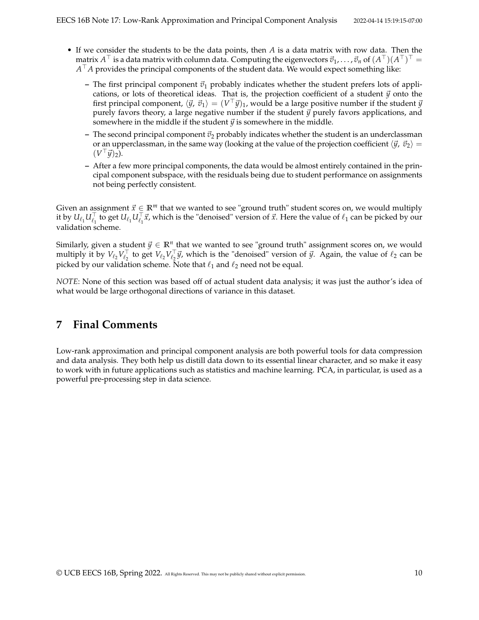- If we consider the students to be the data points, then *A* is a data matrix with row data. Then the  $m$ atrix  $A^{\top}$  is a data matrix with column data. Computing the eigenvectors  $\vec{v}_1,\ldots,\vec{v}_n$  of  $(A^{\top})(A^{\top})^{\top} =$ *A* <sup>⊤</sup>*A* provides the principal components of the student data. We would expect something like:
	- The first principal component  $\vec{v}_1$  probably indicates whether the student prefers lots of applications, or lots of theoretical ideas. That is, the projection coefficient of a student  $\vec{y}$  onto the first principal component,  $\langle \vec{y},\,\vec{v}_1\rangle=(V^\top\vec{y})_1$ , would be a large positive number if the student  $\vec{y}$ purely favors theory, a large negative number if the student  $\vec{y}$  purely favors applications, and somewhere in the middle if the student  $\vec{y}$  is somewhere in the middle.
	- $-$  The second principal component  $\vec{v}_2$  probably indicates whether the student is an underclassman or an upperclassman, in the same way (looking at the value of the projection coefficient  $\langle \vec{y}, \vec{v}_2 \rangle =$  $(V^{\top} \vec{y})_2$ ).
	- **–** After a few more principal components, the data would be almost entirely contained in the principal component subspace, with the residuals being due to student performance on assignments not being perfectly consistent.

Given an assignment  $\vec{x} \in \mathbb{R}^m$  that we wanted to see "ground truth" student scores on, we would multiply it by  $U_{\ell_1}U_{\ell_1}^{\top}$  to get  $U_{\ell_1}U_{\ell_1}^{\top}$   $\vec{x}$ , which is the "denoised" version of  $\vec{x}$ . Here the value of  $\ell_1$  can be picked by our validation scheme.

Similarly, given a student  $\vec{y} \in \mathbb{R}^n$  that we wanted to see "ground truth" assignment scores on, we would multiply it by  $V_{\ell_2} V_{\ell_2}^\top$  to get  $V_{\ell_2} V_{\ell_2}^\top \vec{y}$ , which is the "denoised" version of  $\vec{y}$ . Again, the value of  $\ell_2$  can be picked by our validation scheme. Note that  $\ell_1$  and  $\ell_2$  need not be equal.

*NOTE*: None of this section was based off of actual student data analysis; it was just the author's idea of what would be large orthogonal directions of variance in this dataset.

# **7 Final Comments**

Low-rank approximation and principal component analysis are both powerful tools for data compression and data analysis. They both help us distill data down to its essential linear character, and so make it easy to work with in future applications such as statistics and machine learning. PCA, in particular, is used as a powerful pre-processing step in data science.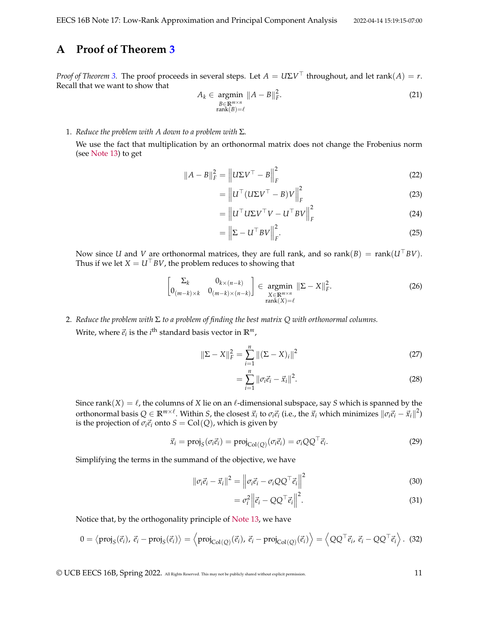# <span id="page-10-0"></span>**A Proof of Theorem [3](#page-1-1)**

*Proof of Theorem [3.](#page-1-1)* The proof proceeds in several steps. Let  $A = U\Sigma V^{\top}$  throughout, and let rank $(A) = r$ . Recall that we want to show that

$$
A_k \in \underset{\substack{B \in \mathbb{R}^{m \times n} \\ \text{rank}(B) = \ell}}{\operatorname{argmin}} \|A - B\|_F^2. \tag{21}
$$

1. *Reduce the problem with A down to a problem with* Σ*.*

We use the fact that multiplication by an orthonormal matrix does not change the Frobenius norm (see [Note 13\)](https://www.eecs16b.org/notes/sp22/note13.pdf) to get

$$
||A - B||_F^2 = ||U\Sigma V^\top - B||_F^2
$$
 (22)

$$
= \left\| U^\top (U\Sigma V^\top - B) V \right\|_F^2 \tag{23}
$$

$$
= \left\| U^\top U \Sigma V^\top V - U^\top B V \right\|_F^2 \tag{24}
$$

$$
= \left\| \Sigma - U^{\top} B V \right\|_{F}^{2}.
$$
 (25)

Now since *U* and *V* are orthonormal matrices, they are full rank, and so rank(*B*) = rank( $U^{\top}BV$ ). Thus if we let  $X = U^{\top}BV$ , the problem reduces to showing that

$$
\begin{bmatrix} \Sigma_k & 0_{k \times (n-k)} \\ 0_{(m-k) \times k} & 0_{(m-k) \times (n-k)} \end{bmatrix} \in \operatorname*{argmin}_{\substack{X \in \mathbb{R}^{m \times n} \\ \operatorname{rank}(X) = \ell}} \|\Sigma - X\|_F^2.
$$
 (26)

2. *Reduce the problem with* Σ *to a problem of finding the best matrix Q with orthonormal columns.* Write, where  $\vec{e}_i$  is the  $i^{\text{th}}$  standard basis vector in  $\mathbb{R}^m$ ,

$$
\|\Sigma - X\|_F^2 = \sum_{i=1}^n \|(\Sigma - X)_i\|^2
$$
\n(27)

$$
= \sum_{i=1}^{n} \|\sigma_i \vec{e}_i - \vec{x}_i\|^2.
$$
 (28)

Since rank $(X) = \ell$ , the columns of *X* lie on an  $\ell$ -dimensional subspace, say *S* which is spanned by the orthonormal basis  $Q\in\mathbb{R}^{m\times \ell}$ . Within *S,* the closest  $\vec{x}_i$  to  $\sigma_i\vec{e}_i$  (i.e., the  $\vec{x}_i$  which minimizes  $\|\sigma_i\vec{e}_i-\vec{x}_i\|^2$ ) is the projection of  $\sigma_i \vec{e}_i$  onto  $S = \text{Col}(Q)$ , which is given by

$$
\vec{x}_i = \text{proj}_S(\sigma_i \vec{e}_i) = \text{proj}_{\text{Col}(Q)}(\sigma_i \vec{e}_i) = \sigma_i Q Q^\top \vec{e}_i.
$$
 (29)

Simplifying the terms in the summand of the objective, we have

$$
\|\sigma_i \vec{e}_i - \vec{x}_i\|^2 = \left\|\sigma_i \vec{e}_i - \sigma_i Q Q^\top \vec{e}_i\right\|^2
$$
\n(30)

$$
= \sigma_i^2 \left\| \vec{e}_i - Q Q^\top \vec{e}_i \right\|^2.
$$
 (31)

Notice that, by the orthogonality principle of [Note 13,](https://www.eecs16b.org/notes/sp22/note13.pdf) we have

$$
0 = \langle \text{proj}_S(\vec{e}_i), \vec{e}_i - \text{proj}_S(\vec{e}_i) \rangle = \langle \text{proj}_{\text{Col}(Q)}(\vec{e}_i), \vec{e}_i - \text{proj}_{\text{Col}(Q)}(\vec{e}_i) \rangle = \langle QQ^\top \vec{e}_i, \vec{e}_i - QQ^\top \vec{e}_i \rangle. \tag{32}
$$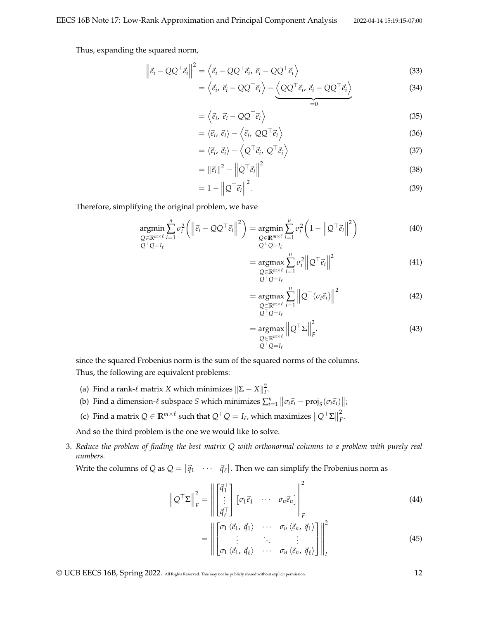Thus, expanding the squared norm,

$$
\left\| \vec{e}_i - Q Q^\top \vec{e}_i \right\|^2 = \left\langle \vec{e}_i - Q Q^\top \vec{e}_i, \vec{e}_i - Q Q^\top \vec{e}_i \right\rangle \tag{33}
$$

$$
= \left\langle \vec{e}_i, \vec{e}_i - QQ^\top \vec{e}_i \right\rangle - \underbrace{\left\langle QQ^\top \vec{e}_i, \vec{e}_i - QQ^\top \vec{e}_i \right\rangle}_{=0}
$$
(34)

$$
= \left\langle \vec{e}_i, \vec{e}_i - Q Q^\top \vec{e}_i \right\rangle \tag{35}
$$

$$
= \langle \vec{e}_i, \vec{e}_i \rangle - \langle \vec{e}_i, \, Q Q^\top \vec{e}_i \rangle \tag{36}
$$

$$
= \langle \vec{e}_i, \vec{e}_i \rangle - \langle Q^\top \vec{e}_i, Q^\top \vec{e}_i \rangle \tag{37}
$$

$$
= \|\vec{e}_i\|^2 - \left\|Q^\top \vec{e}_i\right\|^2 \tag{38}
$$

$$
=1-\left\|Q^{\top}\vec{e}_i\right\|^2.\tag{39}
$$

Therefore, simplifying the original problem, we have

$$
\underset{\substack{Q \in \mathbb{R}^{m \times \ell} \\ Q^{\top}Q = I_{\ell}}} {\text{argmin}} \sum_{i=1}^{n} \sigma_{i}^{2} \left( \left\| \vec{e}_{i} - Q Q^{\top} \vec{e}_{i} \right\|^{2} \right) = \underset{\substack{Q \in \mathbb{R}^{m \times \ell} \\ Q^{\top}Q = I_{\ell}}} {\text{argmin}} \sum_{i=1}^{n} \sigma_{i}^{2} \left( 1 - \left\| Q^{\top} \vec{e}_{i} \right\|^{2} \right)
$$
(40)

$$
= \underset{\substack{Q \in \mathbb{R}^{m \times \ell} \\ Q^{\top} Q = I_{\ell}}}{\operatorname{argmax}} \sum_{i=1}^{n} \sigma_i^2 \left\| Q^{\top} \vec{e}_i \right\|^2 \tag{41}
$$

$$
= \underset{\substack{Q \in \mathbb{R}^{m \times \ell} \\ Q^{\top} Q = I_{\ell}}} {\operatorname{argmax}} \sum_{i=1}^{n} \left\| Q^{\top} (\sigma_i \vec{e}_i) \right\|^2 \tag{42}
$$

$$
= \underset{\substack{Q \in \mathbb{R}^{m \times \ell} \\ Q^{\top} Q = I_{\ell}}}{\operatorname{argmax}} \left\| Q^{\top} \Sigma \right\|_{F}^{2}.
$$
\n(43)

since the squared Frobenius norm is the sum of the squared norms of the columns. Thus, the following are equivalent problems:

- (a) Find a rank- $\ell$  matrix *X* which minimizes  $\|\Sigma X\|_F^2$ .
- (b) Find a dimension- $\ell$  subspace *S* which minimizes  $\sum_{i=1}^{n} ||\sigma_i \vec{e}_i \text{proj}_S(\sigma_i \vec{e}_i)||$ ;
- (c) Find a matrix  $Q \in \mathbb{R}^{m \times \ell}$  such that  $Q^{\top}Q = I_{\ell}$ , which maximizes  $\|Q^{\top}\Sigma\|$ 2 *F* .

And so the third problem is the one we would like to solve.

3. *Reduce the problem of finding the best matrix Q with orthonormal columns to a problem with purely real numbers.*

Write the columns of Q as  $Q = [\vec{q}_1 \quad \cdots \quad \vec{q}_\ell].$  Then we can simplify the Frobenius norm as

$$
\left\| Q^{\top} \Sigma \right\|_F^2 = \left\| \begin{bmatrix} \vec{q}_1^{\top} \\ \vdots \\ \vec{q}_\ell^{\top} \end{bmatrix} \begin{bmatrix} \sigma_1 \vec{e}_1 & \cdots & \sigma_n \vec{e}_n \end{bmatrix} \right\|_F^2
$$
(44)

$$
= \left\| \begin{bmatrix} \sigma_1 \langle \vec{e}_1, \vec{q}_1 \rangle & \cdots & \sigma_n \langle \vec{e}_n, \vec{q}_1 \rangle \\ \vdots & \ddots & \vdots \\ \sigma_1 \langle \vec{e}_1, \vec{q}_\ell \rangle & \cdots & \sigma_n \langle \vec{e}_n, \vec{q}_\ell \rangle \end{bmatrix} \right\|^2_F \tag{45}
$$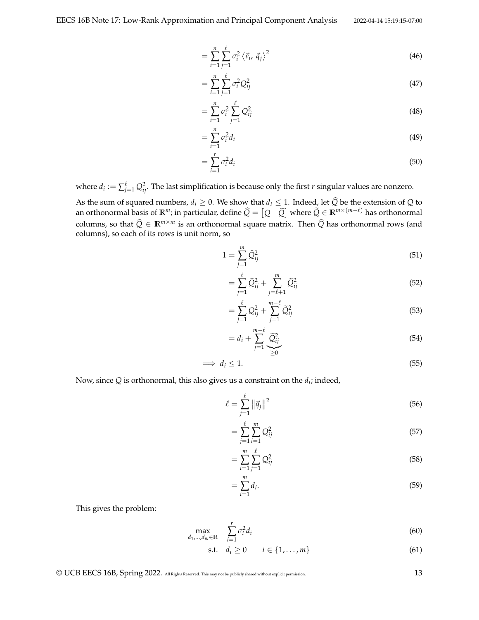$$
=\sum_{i=1}^{n}\sum_{j=1}^{\ell}\sigma_{i}^{2}\left\langle \vec{e}_{i},\vec{q}_{j}\right\rangle ^{2}
$$
\n(46)

$$
=\sum_{i=1}^{n}\sum_{j=1}^{\ell}\sigma_{i}^{2}Q_{ij}^{2}\tag{47}
$$

$$
=\sum_{i=1}^{n} \sigma_i^2 \sum_{j=1}^{\ell} Q_{ij}^2 \tag{48}
$$

$$
=\sum_{i=1}^{n}\sigma_i^2d_i\tag{49}
$$

$$
=\sum_{i=1}^r \sigma_i^2 d_i \tag{50}
$$

where  $d_i := \sum_{j=1}^{\ell} Q_{ij}^2$ . The last simplification is because only the first *r* singular values are nonzero. As the sum of squared numbers,  $d_i \geq 0$ . We show that  $d_i \leq 1$ . Indeed, let  $\widehat{Q}$  be the extension of  $Q$  to an orthonormal basis of  $\mathbb{R}^m$ ; in particular, define  $\widehat{Q} = \begin{bmatrix} Q & \widetilde{Q} \end{bmatrix}$  where  $\widetilde{Q} \in \mathbb{R}^{m \times (m-\ell)}$  has orthonormal columns, so that  $\hat{Q} \in \mathbb{R}^{m \times m}$  is an orthonormal square matrix. Then  $\hat{Q}$  has orthonormal rows (and columns), so each of its rows is unit norm, so

$$
1 = \sum_{j=1}^{m} \hat{Q}_{ij}^{2} \tag{51}
$$

$$
= \sum_{j=1}^{\ell} \widehat{Q}_{ij}^2 + \sum_{j=\ell+1}^{m} \widehat{Q}_{ij}^2 \tag{52}
$$

$$
=\sum_{j=1}^{\ell} Q_{ij}^2 + \sum_{j=1}^{m-\ell} \widetilde{Q}_{ij}^2 \tag{53}
$$

$$
=d_i+\sum_{j=1}^{m-\ell}\underset{\geq 0}{\widetilde{Q}_{ij}^2}
$$
\n
$$
\tag{54}
$$

$$
\implies d_i \le 1. \tag{55}
$$

Now, since  $Q$  is orthonormal, this also gives us a constraint on the  $d_i$ ; indeed,

$$
\ell = \sum_{j=1}^{\ell} ||\vec{q}_j||^2
$$
\n(56)

$$
=\sum_{j=1}^{\ell}\sum_{i=1}^{m}Q_{ij}^{2}\tag{57}
$$

$$
=\sum_{i=1}^{m}\sum_{j=1}^{\ell}Q_{ij}^{2}\tag{58}
$$

$$
=\sum_{i=1}^{m}d_{i}.\tag{59}
$$

This gives the problem:

$$
\max_{d_1,\dots,d_m \in \mathbb{R}} \quad \sum_{i=1}^r \sigma_i^2 d_i \tag{60}
$$

$$
\text{s.t.} \quad d_i \geq 0 \qquad i \in \{1, \dots, m\} \tag{61}
$$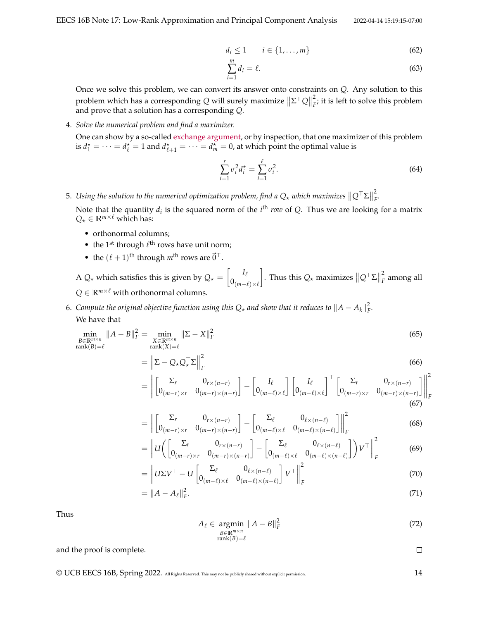$$
d_i \le 1 \qquad i \in \{1, \ldots, m\} \tag{62}
$$

$$
\sum_{i=1}^{m} d_i = \ell. \tag{63}
$$

Once we solve this problem, we can convert its answer onto constraints on *Q*. Any solution to this problem which has a corresponding *Q* will surely maximize  $\|\Sigma^\top Q\|$ 2  $\tilde{F}_{F}$ ; it is left to solve this problem and prove that a solution has a corresponding *Q*.

4. *Solve the numerical problem and find a maximizer.*

One can show by a so-called [exchange argument,](http://www.cs.cornell.edu/courses/cs482/2003su/handouts/greedy_exchange.pdf) or by inspection, that one maximizer of this problem is  $d_1^* = \cdots = d_\ell^* = 1$  and  $d_{\ell+1}^* = \cdots = d_m^* = 0$ , at which point the optimal value is

$$
\sum_{i=1}^{r} \sigma_i^2 d_i^* = \sum_{i=1}^{\ell} \sigma_i^2.
$$
\n(64)

5. Using the solution to the numerical optimization problem, find a Q<sub>∗</sub> which maximizes  $\|Q^\top\Sigma\|$ 2 *F .*

Note that the quantity  $d_i$  is the squared norm of the  $i^{\text{th}}$  *row* of Q. Thus we are looking for a matrix  $Q_{\star} \in \mathbb{R}^{m \times \ell}$  which has:

- orthonormal columns;
- the 1<sup>st</sup> through  $\ell^{\text{th}}$  rows have unit norm;
- the  $(\ell+1)$ <sup>th</sup> through  $m^{\text{th}}$  rows are  $\vec{0}^{\top}$ .

A  $Q_{\star}$  which satisfies this is given by  $Q_{\star} = \begin{bmatrix} I_{\ell} \end{bmatrix}$  $0_{(m-\ell)\times\ell}$  $\Big\}$ . Thus this  $Q_{\star}$  maximizes  $\| Q^\top \Sigma \|$ 2 *F* among all  $Q \in \mathbb{R}^{m \times \ell}$  with orthonormal columns.

6. *Compute the original objective function using this*  $Q_{\star}$  *and show that it reduces to*  $\|A-A_k\|_F^2$ *.* We have that

$$
\min_{\substack{B \in \mathbb{R}^{m \times n} \\ \text{rank}(B) = \ell}} \|A - B\|_F^2 = \min_{\substack{X \in \mathbb{R}^{m \times n} \\ \text{rank}(X) = \ell}} \|\Sigma - X\|_F^2
$$
\n(65)

$$
= \left\| \Sigma - Q_{\star} Q_{\star}^{\top} \Sigma \right\|_{F}^{2}
$$
\n(66)

$$
= \left\| \begin{bmatrix} \Sigma_r & 0_{r \times (n-r)} \\ 0_{(m-r) \times r} & 0_{(m-r) \times (n-r)} \end{bmatrix} - \begin{bmatrix} I_\ell \\ 0_{(m-\ell) \times \ell} \end{bmatrix} \begin{bmatrix} I_\ell \\ 0_{(m-\ell) \times \ell} \end{bmatrix}^\top \begin{bmatrix} \Sigma_r & 0_{r \times (n-r)} \\ 0_{(m-r) \times r} & 0_{(m-r) \times (n-r)} \end{bmatrix} \right\|^2_{F}
$$
(67)

$$
= \left\| \begin{bmatrix} \Sigma_r & 0_{r \times (n-r)} \\ 0_{(m-r) \times r} & 0_{(m-r) \times (n-r)} \end{bmatrix} - \begin{bmatrix} \Sigma_\ell & 0_{\ell \times (n-\ell)} \\ 0_{(m-\ell) \times \ell} & 0_{(m-\ell) \times (n-\ell)} \end{bmatrix} \right\|_F^2
$$
(68)

$$
= \left\| U \left( \begin{bmatrix} \Sigma_r & 0_{r \times (n-r)} \\ 0_{(m-r) \times r} & 0_{(m-r) \times (n-r)} \end{bmatrix} - \begin{bmatrix} \Sigma_\ell & 0_{\ell \times (n-\ell)} \\ 0_{(m-\ell) \times \ell} & 0_{(m-\ell) \times (n-\ell)} \end{bmatrix} \right) V^\top \right\|_F^2 \tag{69}
$$

$$
= \left\| U \Sigma V^{\top} - U \begin{bmatrix} \Sigma_{\ell} & 0_{\ell \times (n-\ell)} \\ 0_{(m-\ell) \times \ell} & 0_{(m-\ell) \times (n-\ell)} \end{bmatrix} V^{\top} \right\|_{F}^{2}
$$
(70)

$$
= \|A - A_{\ell}\|_F^2. \tag{71}
$$

Thus

$$
A_{\ell} \in \underset{\text{rank}(B) = \ell}{\operatorname{argmin}} \|A - B\|_{F}^{2}
$$
\n
$$
(72)
$$

and the proof is complete.

 $\Box$ 

© UCB EECS 16B, Spring 2022. All Rights Reserved. This may not be publicly shared without explicit permission. 14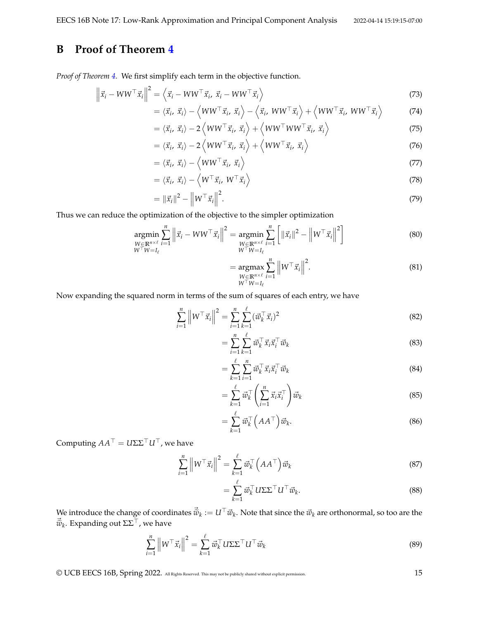# <span id="page-14-0"></span>**B Proof of Theorem [4](#page-3-0)**

*Proof of Theorem [4.](#page-3-0)* We first simplify each term in the objective function.

$$
\left\| \vec{x}_i - W W^{\top} \vec{x}_i \right\|^2 = \left\langle \vec{x}_i - W W^{\top} \vec{x}_i, \ \vec{x}_i - W W^{\top} \vec{x}_i \right\rangle \tag{73}
$$

$$
= \langle \vec{x}_i, \vec{x}_i \rangle - \langle WW^\top \vec{x}_i, \vec{x}_i \rangle - \langle \vec{x}_i, WW^\top \vec{x}_i \rangle + \langle WW^\top \vec{x}_i, WW^\top \vec{x}_i \rangle \tag{74}
$$

$$
= \langle \vec{x}_i, \vec{x}_i \rangle - 2 \langle WW^\top \vec{x}_i, \vec{x}_i \rangle + \langle WW^\top WW^\top \vec{x}_i, \vec{x}_i \rangle \tag{75}
$$

$$
= \langle \vec{x}_i, \vec{x}_i \rangle - 2 \langle WW^\top \vec{x}_i, \vec{x}_i \rangle + \langle WW^\top \vec{x}_i, \vec{x}_i \rangle \tag{76}
$$

$$
= \langle \vec{x}_i, \vec{x}_i \rangle - \langle WW^\top \vec{x}_i, \vec{x}_i \rangle \tag{77}
$$

$$
= \langle \vec{x}_i, \vec{x}_i \rangle - \langle W^\top \vec{x}_i, W^\top \vec{x}_i \rangle \tag{78}
$$

$$
= \|\vec{x}_i\|^2 - \left\|W^\top \vec{x}_i\right\|^2. \tag{79}
$$

Thus we can reduce the optimization of the objective to the simpler optimization

$$
\underset{\substack{W \in \mathbb{R}^{n \times \ell} \\ W^{\top}W = I_{\ell}}} {\operatorname{argmin}} \sum_{i=1}^{n} \left\| \vec{x}_{i} - WW^{\top} \vec{x}_{i} \right\|^{2} = \underset{\substack{W \in \mathbb{R}^{n \times \ell} \\ W^{\top}W = I_{\ell}}} {\operatorname{argmin}} \sum_{i=1}^{n} \left[ \|\vec{x}_{i}\|^{2} - \left\|W^{\top}\vec{x}_{i}\right\|^{2} \right] \tag{80}
$$

$$
= \underset{\substack{W \in \mathbb{R}^{n \times \ell} \\ W^{\top} W = I_{\ell}}} {\operatorname{argmax}} \sum_{i=1}^{n} \left\| W^{\top} \vec{x}_i \right\|^2.
$$
 (81)

Now expanding the squared norm in terms of the sum of squares of each entry, we have

$$
\sum_{i=1}^{n} \left\| W^{\top} \vec{x}_{i} \right\|^{2} = \sum_{i=1}^{n} \sum_{k=1}^{\ell} (\vec{w}_{k}^{\top} \vec{x}_{i})^{2}
$$
\n(82)

$$
=\sum_{i=1}^{n}\sum_{k=1}^{\ell}\vec{w}_{k}^{\top}\vec{x}_{i}\vec{x}_{i}^{\top}\vec{w}_{k}
$$
\n(83)

$$
= \sum_{k=1}^{\ell} \sum_{i=1}^{n} \vec{w}_k^{\top} \vec{x}_i \vec{x}_i^{\top} \vec{w}_k
$$
\n(84)

$$
= \sum_{k=1}^{\ell} \vec{w}_k^{\top} \left( \sum_{i=1}^{n} \vec{x}_i \vec{x}_i^{\top} \right) \vec{w}_k
$$
\n(85)

$$
= \sum_{k=1}^{\ell} \vec{w}_k^{\top} \left( A A^{\top} \right) \vec{w}_k. \tag{86}
$$

Computing  $AA^{\top} = U\Sigma\Sigma^{\top}U^{\top}$ , we have

$$
\sum_{i=1}^{n} \left\| W^{\top} \vec{x}_{i} \right\|^{2} = \sum_{k=1}^{\ell} \vec{w}_{k}^{\top} \left( A A^{\top} \right) \vec{w}_{k}
$$
\n(87)

$$
= \sum_{k=1}^{\ell} \vec{w}_k^{\top} U \Sigma \Sigma^{\top} U^{\top} \vec{w}_k.
$$
 (88)

We introduce the change of coordinates  $\vec{\tilde{w}}_k := U^\top \vec{w}_k$ . Note that since the  $\vec{w}_k$  are orthonormal, so too are the  $\vec{\tilde{w}}_k$ . Expanding out  $\Sigma\Sigma^\top$ , we have

$$
\sum_{i=1}^{n} \left\| W^{\top} \vec{x}_i \right\|^2 = \sum_{k=1}^{\ell} \vec{w}_k^{\top} U \Sigma \Sigma^{\top} U^{\top} \vec{w}_k
$$
\n(89)

© UCB EECS 16B, Spring 2022. All Rights Reserved. This may not be publicly shared without explicit permission. 15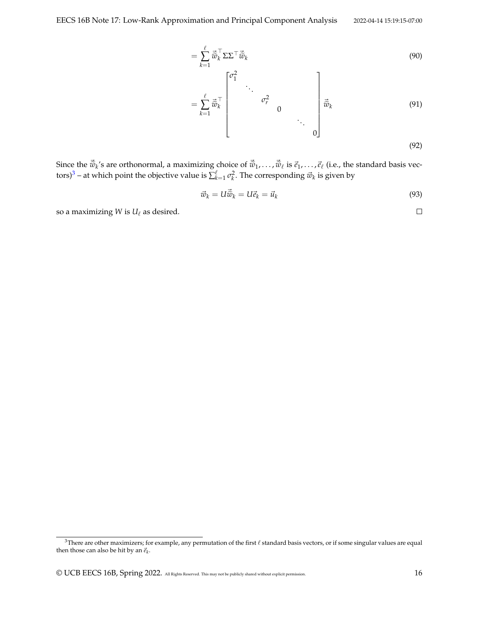$$
= \sum_{k=1}^{\ell} \vec{\tilde{w}}_k^{\top} \Sigma \Sigma^{\top} \vec{\tilde{w}}_k
$$
\n
$$
\begin{bmatrix} \sigma_1^2 & & \\ & \ddots & \end{bmatrix}
$$
\n(90)

$$
=\sum_{k=1}^{\ell} \vec{\tilde{w}}_k^{\top} \begin{bmatrix} \sigma_r^2 & 0 & \cdots & \sigma_r^2 \\ 0 & \ddots & 0 & \cdots \\ 0 & 0 & \cdots & 0 \end{bmatrix} \vec{\tilde{w}}_k \tag{91}
$$

 $\boldsymbol{0}$ 

(92)

 $\Box$ 

Since the  $\vec{\tilde{w}}_k$ 's are orthonormal, a maximizing choice of  $\vec{\tilde{w}}_1, \ldots, \vec{\tilde{w}}_\ell$  is  $\vec{e}_1, \ldots, \vec{e}_\ell$  (i.e., the standard basis vec-tors)<sup>[3](#page-15-0)</sup> – at which point the objective value is  $\sum_{k=1}^{\ell} \sigma_k^2$ . The corresponding  $\vec{w}_k$  is given by

$$
\vec{w}_k = U \vec{\tilde{w}}_k = U \vec{e}_k = \vec{u}_k \tag{93}
$$

so a maximizing *W* is  $U_\ell$  as desired.

<span id="page-15-0"></span><sup>&</sup>lt;sup>3</sup>There are other maximizers; for example, any permutation of the first  $\ell$  standard basis vectors, or if some singular values are equal then those can also be hit by an  $\vec{e}_k$ .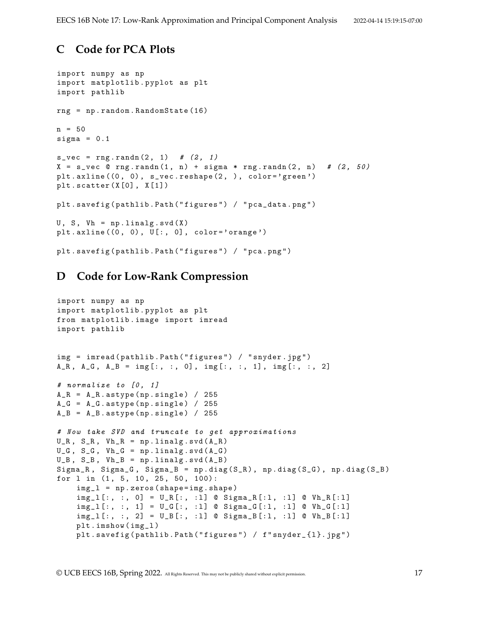## <span id="page-16-0"></span>**C Code for PCA Plots**

```
import numpy as np
import matplotlib . pyplot as plt
import pathlib
rng = np . random . RandomState (16)
n = 50sigma = 0.1s_{vec} = rng.random(2, 1) # (2, 1)X = s vec @ rng.randn(1, n) + sigma * rng.randn(2, n) # (2, 50)
plt.axline ((0, 0), s_vec.reshape (2, ), color='green')
plt.setter(X[0], X[1])plt . savefig (pathlib . Path ("figures") / "pca_data . png")
U, S, Vh = np.linalg.svd(X)plt.axline((0, 0), U[:, 0], color='orange')plt . savefig (pathlib . Path ("figures") / "pca.png")
```
## <span id="page-16-1"></span>**D Code for Low-Rank Compression**

```
import numpy as np
import matplotlib . pyplot as plt
from matplotlib . image import imread
import pathlib
img = imread ( pathlib . Path ( " figures " ) / " snyder . jpg " )
A_R, A_G, A_B = \text{img}[:, :, 0], \text{img}[:, :, 1], \text{img}[:, :, 2]
# normalize to [0, 1]
A_R = A_R. astype (np. single) / 255
A_G = A_G. astype (np. single) / 255
A_B = A_B. astype (np. single) / 255
# Now take SVD and truncate to get approximations
U_R, S_R, Vh_R = np.linalg.svd(A_R)U_G, S_G, Vh_G = np.linalg.svd(A_G)U_B, S_B, Vh_B = np.linalg.svd(A_B)Signa_R, Signa_G, Signa_B = np.diag(S_R), np.diag(S_G), np.diag(S_B)for 1 in (1, 5, 10, 25, 50, 100):
    img_1 = np.zeros(shape = img.shape)img\_1 [:, :, 0] = U_R [:, :1] © Signa_R [:1, :1] © Vh_R [:1]
    img\_l[:, :, 1] = U\_G[:, :1] @ Sigma_G[:1, :1] @ Vh_G[:1]
    img\_l[:, :, 2] = U\_B[:, :1] @ Sigma_B[:1, :1] @ Vh_B[:1]
    plt . imshow ( img_l )
    plt . savefig (pathlib . Path ("figures") / f"snyder_{1}. jpg")
```